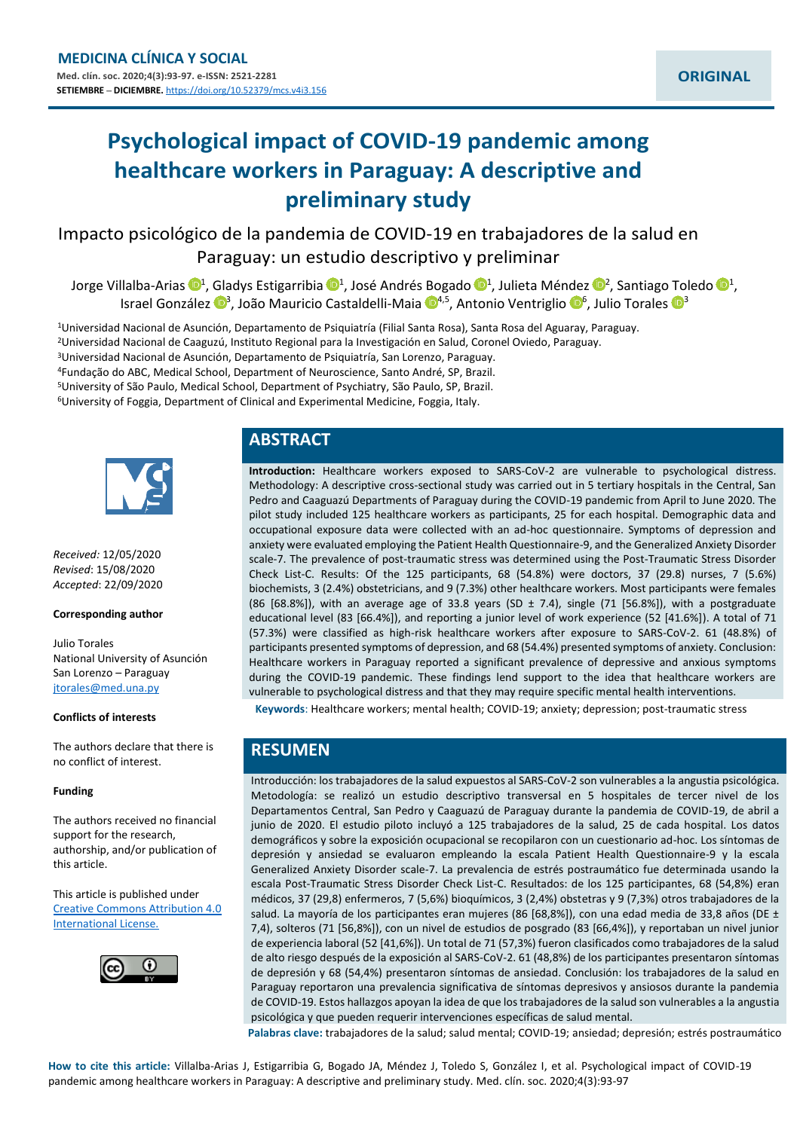# **Psychological impact of COVID-19 pandemic among healthcare workers in Paraguay: A descriptive and preliminary study**

Impacto psicológico de la pandemia de COVID-19 en trabajadores de la salud en Paraguay: un estudio descriptivo y preliminar

Jorge Villalba-Arias  $\mathbb{D}^1$  $\mathbb{D}^1$ , Gladys Estigarribia  $\mathbb{D}^1$ , José Andrés Bogado  $\mathbb{D}^1$ , Julieta Méndez  $\mathbb{D}^2$ , Santiago Toledo  $\mathbb{D}^1$ , Israel González <sup>na</sup>, João Mauricio Castaldelli-Maia n<sup>[4](https://orcid.org/0000-0001-9621-2291),5</sup>, Antonio Ventriglio n<sup>6</sup>, Julio Torales n<sup>3</sup>

Universidad Nacional de Asunción, Departamento de Psiquiatría (Filial Santa Rosa), Santa Rosa del Aguaray, Paraguay. Universidad Nacional de Caaguzú, Instituto Regional para la Investigación en Salud, Coronel Oviedo, Paraguay. Universidad Nacional de Asunción, Departamento de Psiquiatría, San Lorenzo, Paraguay. Fundação do ABC, Medical School, Department of Neuroscience, Santo André, SP, Brazil. University of São Paulo, Medical School, Department of Psychiatry, São Paulo, SP, Brazil. University of Foggia, Department of Clinical and Experimental Medicine, Foggia, Italy.



*Received:* 12/05/2020 *Revised*: 15/08/2020 *Accepted*: 22/09/2020

#### **Corresponding author**

Julio Torales National University of Asunción San Lorenzo – Paraguay [jtorales@med.una.py](mailto:jtorales@med.una.py)

#### **Conflicts of interests**

The authors declare that there is no conflict of interest.

#### **Funding**

The authors received no financial support for the research, authorship, and/or publication of this article.

This article is published under [Creative Commons Attribution 4.0](http://creativecommons.org/licenses/by/4.0/)  [International License.](http://creativecommons.org/licenses/by/4.0/)



# **ABSTRACT**

**Introduction:** Healthcare workers exposed to SARS-CoV-2 are vulnerable to psychological distress. Methodology: A descriptive cross-sectional study was carried out in 5 tertiary hospitals in the Central, San Pedro and Caaguazú Departments of Paraguay during the COVID-19 pandemic from April to June 2020. The pilot study included 125 healthcare workers as participants, 25 for each hospital. Demographic data and occupational exposure data were collected with an ad-hoc questionnaire. Symptoms of depression and anxiety were evaluated employing the Patient Health Questionnaire-9, and the Generalized Anxiety Disorder scale-7. The prevalence of post-traumatic stress was determined using the Post-Traumatic Stress Disorder Check List-C. Results: Of the 125 participants, 68 (54.8%) were doctors, 37 (29.8) nurses, 7 (5.6%) biochemists, 3 (2.4%) obstetricians, and 9 (7.3%) other healthcare workers. Most participants were females (86 [68.8%]), with an average age of 33.8 years (SD  $\pm$  7.4), single (71 [56.8%]), with a postgraduate educational level (83 [66.4%]), and reporting a junior level of work experience (52 [41.6%]). A total of 71 (57.3%) were classified as high-risk healthcare workers after exposure to SARS-CoV-2. 61 (48.8%) of participants presented symptoms of depression, and 68 (54.4%) presented symptoms of anxiety. Conclusion: Healthcare workers in Paraguay reported a significant prevalence of depressive and anxious symptoms during the COVID-19 pandemic. These findings lend support to the idea that healthcare workers are vulnerable to psychological distress and that they may require specific mental health interventions.

**Keywords**: Healthcare workers; mental health; COVID-19; anxiety; depression; post-traumatic stress

# **RESUMEN**

Introducción: los trabajadores de la salud expuestos al SARS-CoV-2 son vulnerables a la angustia psicológica. Metodología: se realizó un estudio descriptivo transversal en 5 hospitales de tercer nivel de los Departamentos Central, San Pedro y Caaguazú de Paraguay durante la pandemia de COVID-19, de abril a junio de 2020. El estudio piloto incluyó a 125 trabajadores de la salud, 25 de cada hospital. Los datos demográficos y sobre la exposición ocupacional se recopilaron con un cuestionario ad-hoc. Los síntomas de depresión y ansiedad se evaluaron empleando la escala Patient Health Questionnaire-9 y la escala Generalized Anxiety Disorder scale-7. La prevalencia de estrés postraumático fue determinada usando la escala Post-Traumatic Stress Disorder Check List-C. Resultados: de los 125 participantes, 68 (54,8%) eran médicos, 37 (29,8) enfermeros, 7 (5,6%) bioquímicos, 3 (2,4%) obstetras y 9 (7,3%) otros trabajadores de la salud. La mayoría de los participantes eran mujeres (86 [68,8%]), con una edad media de 33,8 años (DE  $\pm$ 7,4), solteros (71 [56,8%]), con un nivel de estudios de posgrado (83 [66,4%]), y reportaban un nivel junior de experiencia laboral (52 [41,6%]). Un total de 71 (57,3%) fueron clasificados como trabajadores de la salud de alto riesgo después de la exposición al SARS-CoV-2. 61 (48,8%) de los participantes presentaron síntomas de depresión y 68 (54,4%) presentaron síntomas de ansiedad. Conclusión: los trabajadores de la salud en Paraguay reportaron una prevalencia significativa de síntomas depresivos y ansiosos durante la pandemia de COVID-19. Estos hallazgos apoyan la idea de que los trabajadores de la salud son vulnerables a la angustia psicológica y que pueden requerir intervenciones específicas de salud mental.

**Palabras clave:** trabajadores de la salud; salud mental; COVID-19; ansiedad; depresión; estrés postraumático

**How to cite this article:** Villalba-Arias J, Estigarribia G, Bogado JA, Méndez J, Toledo S, González I, et al. Psychological impact of COVID-19 pandemic among healthcare workers in Paraguay: A descriptive and preliminary study. Med. clín. soc. 2020;4(3):93-97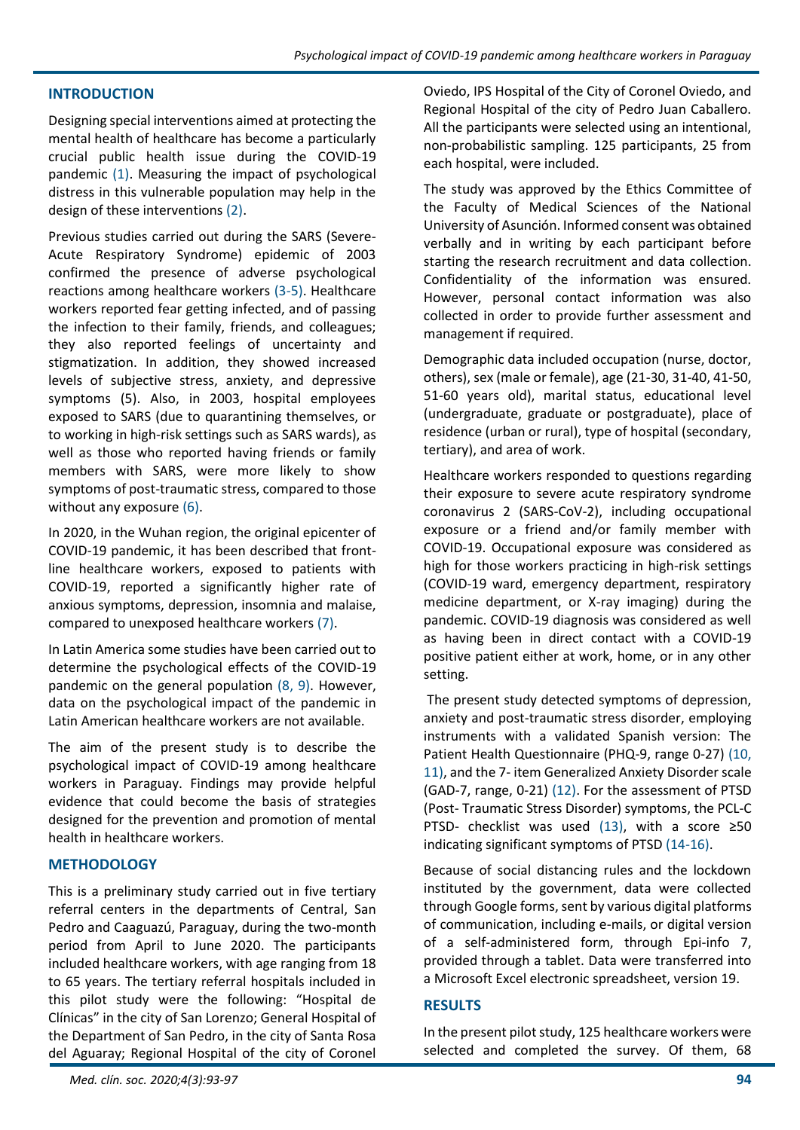## **INTRODUCTION**

Designing special interventions aimed at protecting the mental health of healthcare has become a particularly crucial public health issue during the COVID-19 pandemic (1). Measuring the impact of psychological distress in this vulnerable population may help in the design of these interventions (2).

Previous studies carried out during the SARS (Severe-Acute Respiratory Syndrome) epidemic of 2003 confirmed the presence of adverse psychological reactions among healthcare workers (3-5). Healthcare workers reported fear getting infected, and of passing the infection to their family, friends, and colleagues; they also reported feelings of uncertainty and stigmatization. In addition, they showed increased levels of subjective stress, anxiety, and depressive symptoms (5). Also, in 2003, hospital employees exposed to SARS (due to quarantining themselves, or to working in high-risk settings such as SARS wards), as well as those who reported having friends or family members with SARS, were more likely to show symptoms of post-traumatic stress, compared to those without any exposure (6).

In 2020, in the Wuhan region, the original epicenter of COVID-19 pandemic, it has been described that frontline healthcare workers, exposed to patients with COVID-19, reported a significantly higher rate of anxious symptoms, depression, insomnia and malaise, compared to unexposed healthcare workers (7).

In Latin America some studies have been carried out to determine the psychological effects of the COVID-19 pandemic on the general population (8, 9). However, data on the psychological impact of the pandemic in Latin American healthcare workers are not available.

The aim of the present study is to describe the psychological impact of COVID-19 among healthcare workers in Paraguay. Findings may provide helpful evidence that could become the basis of strategies designed for the prevention and promotion of mental health in healthcare workers.

### **METHODOLOGY**

This is a preliminary study carried out in five tertiary referral centers in the departments of Central, San Pedro and Caaguazú, Paraguay, during the two-month period from April to June 2020. The participants included healthcare workers, with age ranging from 18 to 65 years. The tertiary referral hospitals included in this pilot study were the following: "Hospital de Clínicas" in the city of San Lorenzo; General Hospital of the Department of San Pedro, in the city of Santa Rosa del Aguaray; Regional Hospital of the city of Coronel

Oviedo, IPS Hospital of the City of Coronel Oviedo, and Regional Hospital of the city of Pedro Juan Caballero. All the participants were selected using an intentional, non-probabilistic sampling. 125 participants, 25 from each hospital, were included.

The study was approved by the Ethics Committee of the Faculty of Medical Sciences of the National University of Asunción. Informed consent was obtained verbally and in writing by each participant before starting the research recruitment and data collection. Confidentiality of the information was ensured. However, personal contact information was also collected in order to provide further assessment and management if required.

Demographic data included occupation (nurse, doctor, others), sex (male or female), age (21-30, 31-40, 41-50, 51-60 years old), marital status, educational level (undergraduate, graduate or postgraduate), place of residence (urban or rural), type of hospital (secondary, tertiary), and area of work.

Healthcare workers responded to questions regarding their exposure to severe acute respiratory syndrome coronavirus 2 (SARS-CoV-2), including occupational exposure or a friend and/or family member with COVID-19. Occupational exposure was considered as high for those workers practicing in high-risk settings (COVID-19 ward, emergency department, respiratory medicine department, or X-ray imaging) during the pandemic. COVID-19 diagnosis was considered as well as having been in direct contact with a COVID-19 positive patient either at work, home, or in any other setting.

The present study detected symptoms of depression, anxiety and post-traumatic stress disorder, employing instruments with a validated Spanish version: The Patient Health Questionnaire (PHQ-9, range 0-27) (10, 11), and the 7- item Generalized Anxiety Disorder scale (GAD-7, range, 0-21) (12). For the assessment of PTSD (Post- Traumatic Stress Disorder) symptoms, the PCL-C PTSD- checklist was used (13), with a score ≥50 indicating significant symptoms of PTSD (14-16).

Because of social distancing rules and the lockdown instituted by the government, data were collected through Google forms, sent by various digital platforms of communication, including e-mails, or digital version of a self-administered form, through Epi-info 7, provided through a tablet. Data were transferred into a Microsoft Excel electronic spreadsheet, version 19.

### **RESULTS**

In the present pilot study, 125 healthcare workers were selected and completed the survey. Of them, 68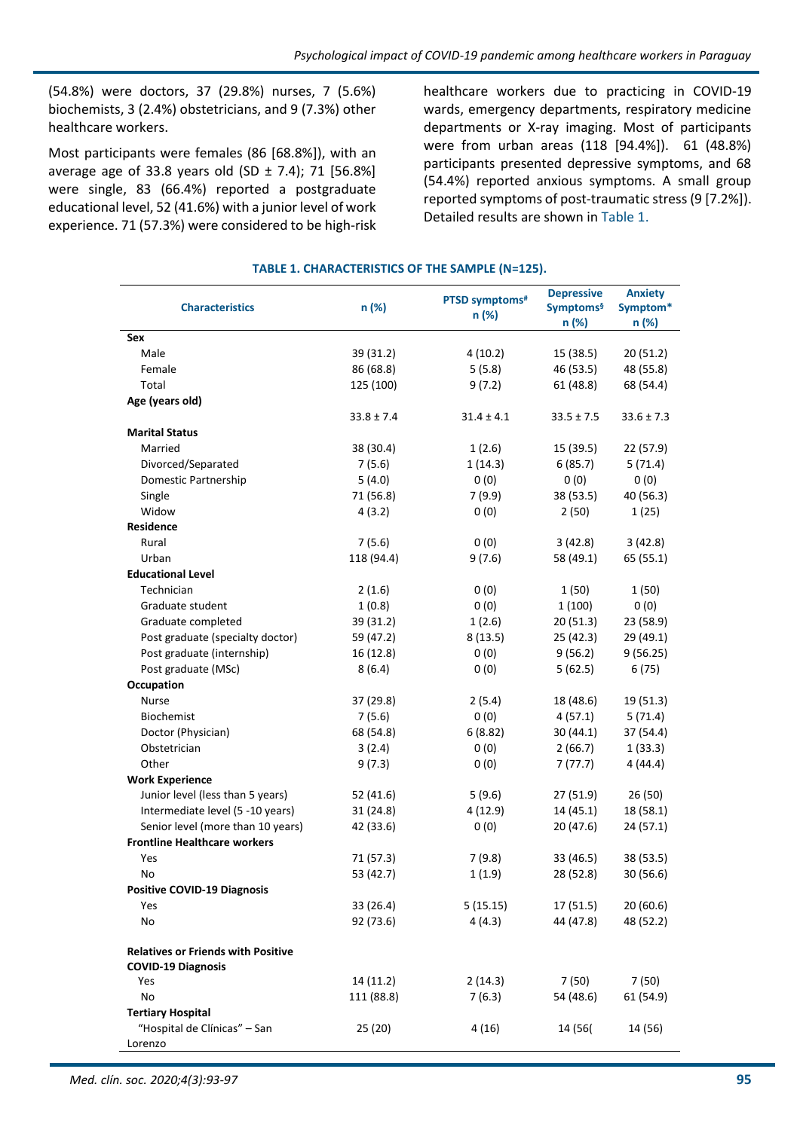(54.8%) were doctors, 37 (29.8%) nurses, 7 (5.6%) biochemists, 3 (2.4%) obstetricians, and 9 (7.3%) other healthcare workers.

Most participants were females (86 [68.8%]), with an average age of 33.8 years old  $(SD \pm 7.4)$ ; 71 [56.8%] were single, 83 (66.4%) reported a postgraduate educational level, 52 (41.6%) with a junior level of work experience. 71 (57.3%) were considered to be high-risk healthcare workers due to practicing in COVID-19 wards, emergency departments, respiratory medicine departments or X-ray imaging. Most of participants were from urban areas (118 [94.4%]). 61 (48.8%) participants presented depressive symptoms, and 68 (54.4%) reported anxious symptoms. A small group reported symptoms of post-traumatic stress (9 [7.2%]). Detailed results are shown in Table 1.

## **TABLE 1. CHARACTERISTICS OF THE SAMPLE (N=125).**

| <b>Characteristics</b>                    | n (%)          | PTSD symptoms <sup>#</sup> | <b>Depressive</b><br><b>Symptoms</b> <sup>§</sup> | <b>Anxiety</b><br>Symptom* |
|-------------------------------------------|----------------|----------------------------|---------------------------------------------------|----------------------------|
|                                           |                | n (%)                      | n (%)                                             | n (%)                      |
| Sex                                       |                |                            |                                                   |                            |
| Male                                      | 39 (31.2)      | 4(10.2)                    | 15(38.5)                                          | 20 (51.2)                  |
| Female                                    | 86 (68.8)      | 5(5.8)                     | 46 (53.5)                                         | 48 (55.8)                  |
| Total                                     | 125 (100)      | 9(7.2)                     | 61 (48.8)                                         | 68 (54.4)                  |
| Age (years old)                           |                |                            |                                                   |                            |
|                                           | $33.8 \pm 7.4$ | $31.4 \pm 4.1$             | $33.5 \pm 7.5$                                    | $33.6 \pm 7.3$             |
| <b>Marital Status</b>                     |                |                            |                                                   |                            |
| Married                                   | 38 (30.4)      | 1(2.6)                     | 15 (39.5)                                         | 22 (57.9)                  |
| Divorced/Separated                        | 7(5.6)         | 1(14.3)                    | 6(85.7)                                           | 5(71.4)                    |
| Domestic Partnership                      | 5(4.0)         | 0(0)                       | 0(0)                                              | 0(0)                       |
| Single                                    | 71 (56.8)      | 7(9.9)                     | 38 (53.5)                                         | 40 (56.3)                  |
| Widow                                     | 4(3.2)         | 0(0)                       | 2(50)                                             | 1(25)                      |
| Residence                                 |                |                            |                                                   |                            |
| Rural                                     | 7(5.6)         | 0(0)                       | 3(42.8)                                           | 3(42.8)                    |
| Urban                                     | 118 (94.4)     | 9(7.6)                     | 58 (49.1)                                         | 65 (55.1)                  |
| <b>Educational Level</b>                  |                |                            |                                                   |                            |
| Technician                                | 2(1.6)         | 0(0)                       | 1(50)                                             | 1(50)                      |
| Graduate student                          | 1(0.8)         | 0(0)                       | 1(100)                                            | 0(0)                       |
| Graduate completed                        | 39 (31.2)      | 1(2.6)                     | 20(51.3)                                          | 23 (58.9)                  |
| Post graduate (specialty doctor)          | 59 (47.2)      | 8(13.5)                    | 25 (42.3)                                         | 29 (49.1)                  |
| Post graduate (internship)                | 16 (12.8)      | 0(0)                       | 9(56.2)                                           | 9(56.25)                   |
| Post graduate (MSc)                       | 8(6.4)         | 0(0)                       | 5(62.5)                                           | 6(75)                      |
| Occupation                                |                |                            |                                                   |                            |
| <b>Nurse</b>                              | 37 (29.8)      | 2(5.4)                     | 18 (48.6)                                         | 19 (51.3)                  |
| <b>Biochemist</b>                         | 7(5.6)         | 0(0)                       | 4(57.1)                                           | 5(71.4)                    |
| Doctor (Physician)                        | 68 (54.8)      | 6(8.82)                    | 30 (44.1)                                         | 37 (54.4)                  |
| Obstetrician                              | 3(2.4)         | 0(0)                       | 2(66.7)                                           | 1(33.3)                    |
| Other                                     | 9(7.3)         | 0(0)                       | 7(77.7)                                           | 4 (44.4)                   |
| <b>Work Experience</b>                    |                |                            |                                                   |                            |
| Junior level (less than 5 years)          | 52 (41.6)      | 5(9.6)                     | 27 (51.9)                                         | 26 (50)                    |
| Intermediate level (5 -10 years)          | 31 (24.8)      | 4(12.9)                    | 14(45.1)                                          | 18 (58.1)                  |
| Senior level (more than 10 years)         | 42 (33.6)      | 0(0)                       | 20 (47.6)                                         | 24 (57.1)                  |
| <b>Frontline Healthcare workers</b>       |                |                            |                                                   |                            |
| Yes                                       | 71 (57.3)      | 7(9.8)                     | 33 (46.5)                                         | 38 (53.5)                  |
| No                                        | 53 (42.7)      | 1(1.9)                     | 28 (52.8)                                         | 30 (56.6)                  |
| <b>Positive COVID-19 Diagnosis</b>        |                |                            |                                                   |                            |
| Yes                                       | 33 (26.4)      | 5(15.15)                   | 17 (51.5)                                         | 20(60.6)                   |
| No                                        | 92 (73.6)      | 4(4.3)                     | 44 (47.8)                                         | 48 (52.2)                  |
| <b>Relatives or Friends with Positive</b> |                |                            |                                                   |                            |
| <b>COVID-19 Diagnosis</b>                 |                |                            |                                                   |                            |
| Yes                                       | 14 (11.2)      | 2(14.3)                    | 7(50)                                             | 7 (50)                     |
| No                                        | 111 (88.8)     | 7(6.3)                     | 54 (48.6)                                         | 61 (54.9)                  |
| <b>Tertiary Hospital</b>                  |                |                            |                                                   |                            |
| "Hospital de Clínicas" - San<br>Lorenzo   | 25 (20)        | 4(16)                      | 14 (56)                                           | 14 (56)                    |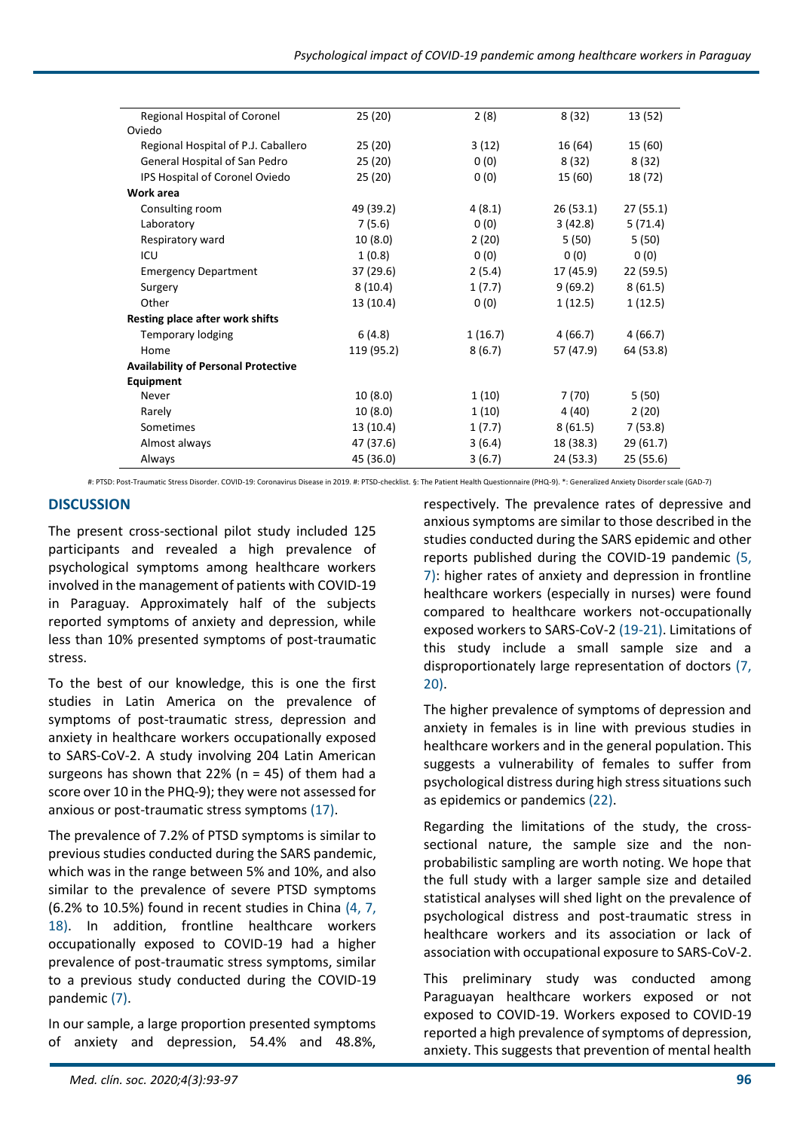| Regional Hospital of Coronel               | 25(20)     | 2(8)    | 8 (32)    | 13 (52)   |
|--------------------------------------------|------------|---------|-----------|-----------|
| Oviedo                                     |            |         |           |           |
| Regional Hospital of P.J. Caballero        | 25(20)     | 3(12)   | 16 (64)   | 15 (60)   |
| General Hospital of San Pedro              | 25 (20)    | 0(0)    | 8(32)     | 8(32)     |
| IPS Hospital of Coronel Oviedo             | 25(20)     | 0(0)    | 15 (60)   | 18 (72)   |
| Work area                                  |            |         |           |           |
| Consulting room                            | 49 (39.2)  | 4(8.1)  | 26(53.1)  | 27 (55.1) |
| Laboratory                                 | 7(5.6)     | 0(0)    | 3(42.8)   | 5(71.4)   |
| Respiratory ward                           | 10(8.0)    | 2(20)   | 5 (50)    | 5(50)     |
| ICU                                        | 1(0.8)     | 0(0)    | 0(0)      | 0(0)      |
| <b>Emergency Department</b>                | 37 (29.6)  | 2(5.4)  | 17 (45.9) | 22 (59.5) |
| Surgery                                    | 8(10.4)    | 1(7.7)  | 9(69.2)   | 8(61.5)   |
| Other                                      | 13 (10.4)  | 0(0)    | 1(12.5)   | 1(12.5)   |
| Resting place after work shifts            |            |         |           |           |
| <b>Temporary lodging</b>                   | 6(4.8)     | 1(16.7) | 4 (66.7)  | 4(66.7)   |
| Home                                       | 119 (95.2) | 8(6.7)  | 57 (47.9) | 64 (53.8) |
| <b>Availability of Personal Protective</b> |            |         |           |           |
| Equipment                                  |            |         |           |           |
| Never                                      | 10(8.0)    | 1(10)   | 7(70)     | 5(50)     |
| Rarely                                     | 10(8.0)    | 1(10)   | 4 (40)    | 2(20)     |
| Sometimes                                  | 13 (10.4)  | 1(7.7)  | 8(61.5)   | 7(53.8)   |
| Almost always                              | 47 (37.6)  | 3(6.4)  | 18 (38.3) | 29 (61.7) |
| Always                                     | 45 (36.0)  | 3(6.7)  | 24 (53.3) | 25 (55.6) |

#: PTSD: Post-Traumatic Stress Disorder. COVID-19: Coronavirus Disease in 2019. #: PTSD-checklist. §: The Patient Health Questionnaire (PHQ-9). \*: Generalized Anxiety Disorder scale (GAD-7)

## **DISCUSSION**

The present cross-sectional pilot study included 125 participants and revealed a high prevalence of psychological symptoms among healthcare workers involved in the management of patients with COVID-19 in Paraguay. Approximately half of the subjects reported symptoms of anxiety and depression, while less than 10% presented symptoms of post-traumatic stress.

To the best of our knowledge, this is one the first studies in Latin America on the prevalence of symptoms of post-traumatic stress, depression and anxiety in healthcare workers occupationally exposed to SARS-CoV-2. A study involving 204 Latin American surgeons has shown that 22% ( $n = 45$ ) of them had a score over 10 in the PHQ-9); they were not assessed for anxious or post-traumatic stress symptoms (17).

The prevalence of 7.2% of PTSD symptoms is similar to previous studies conducted during the SARS pandemic, which was in the range between 5% and 10%, and also similar to the prevalence of severe PTSD symptoms (6.2% to 10.5%) found in recent studies in China (4, 7, 18). In addition, frontline healthcare workers occupationally exposed to COVID-19 had a higher prevalence of post-traumatic stress symptoms, similar to a previous study conducted during the COVID-19 pandemic (7).

In our sample, a large proportion presented symptoms of anxiety and depression, 54.4% and 48.8%,

respectively. The prevalence rates of depressive and anxious symptoms are similar to those described in the studies conducted during the SARS epidemic and other reports published during the COVID-19 pandemic (5, 7): higher rates of anxiety and depression in frontline healthcare workers (especially in nurses) were found compared to healthcare workers not-occupationally exposed workers to SARS-CoV-2 (19-21). Limitations of this study include a small sample size and a disproportionately large representation of doctors (7, 20).

The higher prevalence of symptoms of depression and anxiety in females is in line with previous studies in healthcare workers and in the general population. This suggests a vulnerability of females to suffer from psychological distress during high stress situations such as epidemics or pandemics (22).

Regarding the limitations of the study, the crosssectional nature, the sample size and the nonprobabilistic sampling are worth noting. We hope that the full study with a larger sample size and detailed statistical analyses will shed light on the prevalence of psychological distress and post-traumatic stress in healthcare workers and its association or lack of association with occupational exposure to SARS-CoV-2.

This preliminary study was conducted among Paraguayan healthcare workers exposed or not exposed to COVID-19. Workers exposed to COVID-19 reported a high prevalence of symptoms of depression, anxiety. This suggests that prevention of mental health